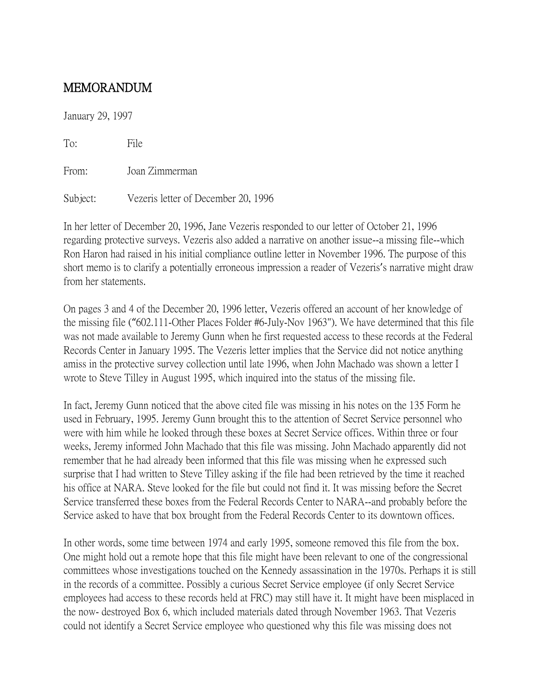## MEMORANDUM

January 29, 1997

To: File From: Joan Zimmerman

Subject: Vezeris letter of December 20, 1996

In her letter of December 20, 1996, Jane Vezeris responded to our letter of October 21, 1996 regarding protective surveys. Vezeris also added a narrative on another issue--a missing file--which Ron Haron had raised in his initial compliance outline letter in November 1996. The purpose of this short memo is to clarify a potentially erroneous impression a reader of Vezeris's narrative might draw from her statements.

On pages 3 and 4 of the December 20, 1996 letter, Vezeris offered an account of her knowledge of the missing file ("602.111-Other Places Folder #6-July-Nov 1963"). We have determined that this file was not made available to Jeremy Gunn when he first requested access to these records at the Federal Records Center in January 1995. The Vezeris letter implies that the Service did not notice anything amiss in the protective survey collection until late 1996, when John Machado was shown a letter I wrote to Steve Tilley in August 1995, which inquired into the status of the missing file.

In fact, Jeremy Gunn noticed that the above cited file was missing in his notes on the 135 Form he used in February, 1995. Jeremy Gunn brought this to the attention of Secret Service personnel who were with him while he looked through these boxes at Secret Service offices. Within three or four weeks, Jeremy informed John Machado that this file was missing. John Machado apparently did not remember that he had already been informed that this file was missing when he expressed such surprise that I had written to Steve Tilley asking if the file had been retrieved by the time it reached his office at NARA. Steve looked for the file but could not find it. It was missing before the Secret Service transferred these boxes from the Federal Records Center to NARA--and probably before the Service asked to have that box brought from the Federal Records Center to its downtown offices.

In other words, some time between 1974 and early 1995, someone removed this file from the box. One might hold out a remote hope that this file might have been relevant to one of the congressional committees whose investigations touched on the Kennedy assassination in the 1970s. Perhaps it is still in the records of a committee. Possibly a curious Secret Service employee (if only Secret Service employees had access to these records held at FRC) may still have it. It might have been misplaced in the now- destroyed Box 6, which included materials dated through November 1963. That Vezeris could not identify a Secret Service employee who questioned why this file was missing does not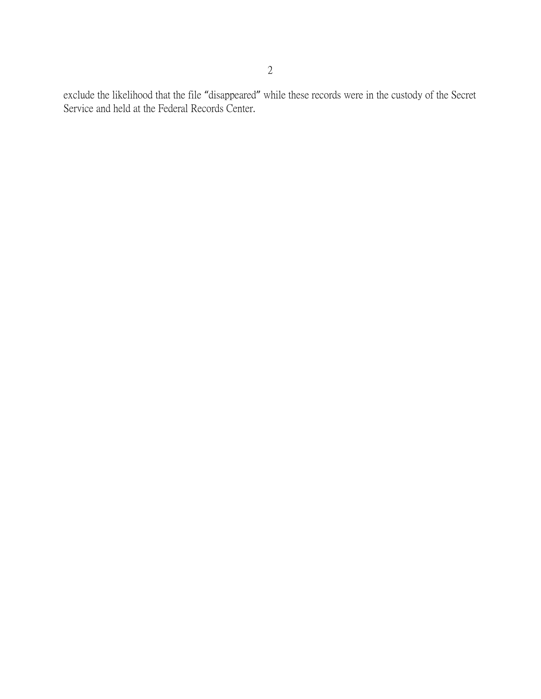exclude the likelihood that the file "disappeared" while these records were in the custody of the Secret Service and held at the Federal Records Center.